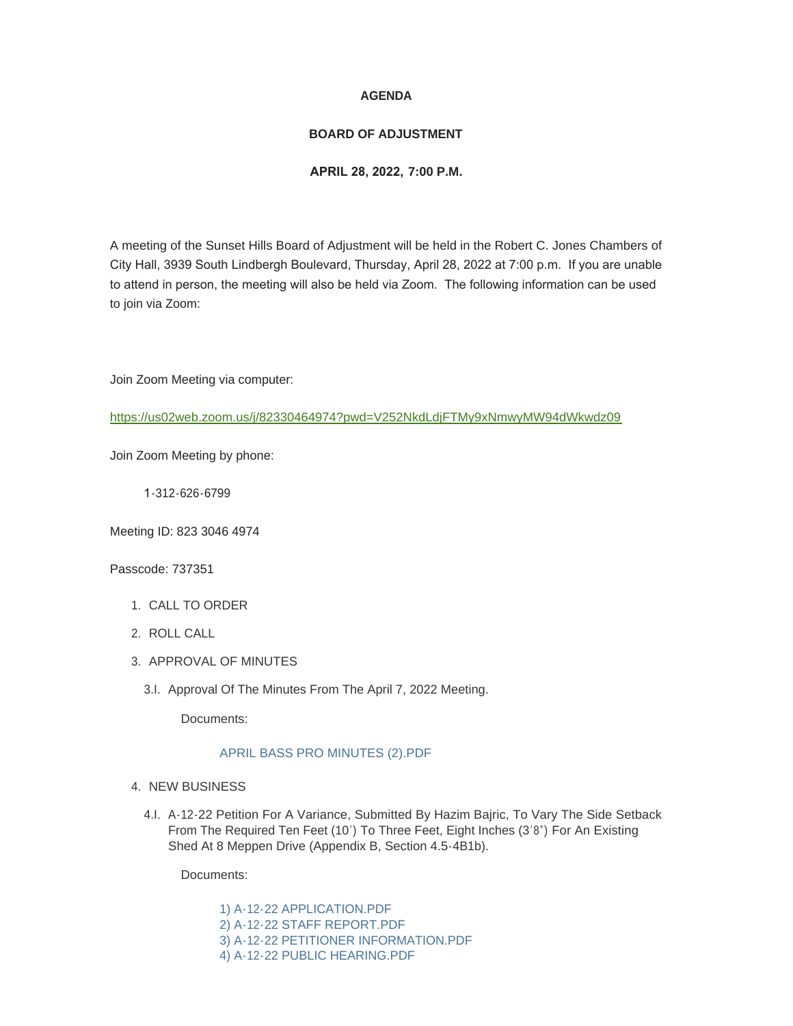## **AGENDA**

## **BOARD OF ADJUSTMENT**

## **APRIL 28, 2022, 7:00 P.M.**

A meeting of the Sunset Hills Board of Adjustment will be held in the Robert C. Jones Chambers of City Hall, 3939 South Lindbergh Boulevard, Thursday, April 28, 2022 at 7:00 p.m. If you are unable to attend in person, the meeting will also be held via Zoom. The following information can be used to join via Zoom:

Join Zoom Meeting via computer:

<https://us02web.zoom.us/j/82330464974?pwd=V252NkdLdjFTMy9xNmwyMW94dWkwdz09>

Join Zoom Meeting by phone:

1-312-626-6799

Meeting ID: 823 3046 4974

Passcode: 737351

- 1. CALL TO ORDER
- 2. ROLL CALL
- 3. APPROVAL OF MINUTES
	- 3.I. Approval Of The Minutes From The April 7, 2022 Meeting.

Documents:

## [APRIL BASS PRO MINUTES \(2\).PDF](https://www.sunset-hills.com/AgendaCenter/ViewFile/Item/4297?fileID=29328)

- 4. NEW BUSINESS
	- A-12-22 Petition For A Variance, Submitted By Hazim Bajric, To Vary The Side Setback 4.I. From The Required Ten Feet (10') To Three Feet, Eight Inches (3'8") For An Existing Shed At 8 Meppen Drive (Appendix B, Section 4.5-4B1b).

Documents:

[1\) A-12-22 APPLICATION.PDF](https://www.sunset-hills.com/AgendaCenter/ViewFile/Item/4299?fileID=29329) [2\) A-12-22 STAFF REPORT.PDF](https://www.sunset-hills.com/AgendaCenter/ViewFile/Item/4299?fileID=29330) [3\) A-12-22 PETITIONER INFORMATION.PDF](https://www.sunset-hills.com/AgendaCenter/ViewFile/Item/4299?fileID=29331) [4\) A-12-22 PUBLIC HEARING.PDF](https://www.sunset-hills.com/AgendaCenter/ViewFile/Item/4299?fileID=29332)